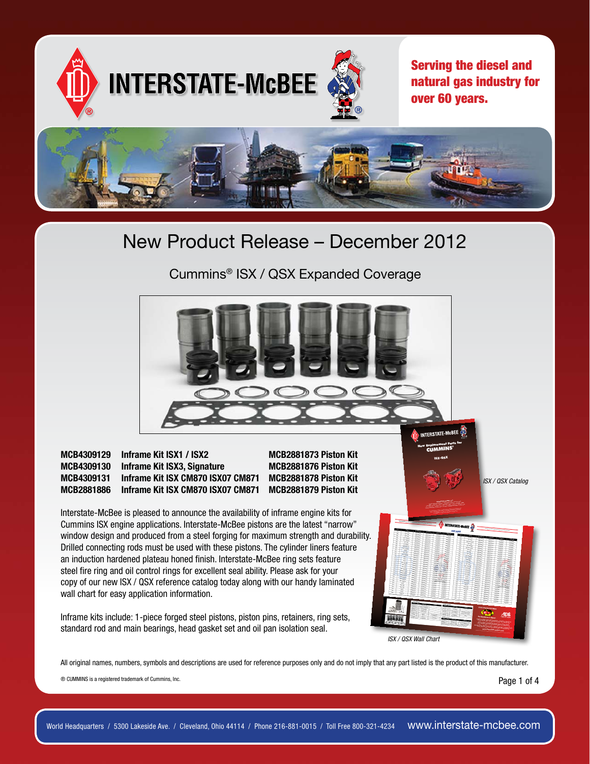

Cummins® ISX / QSX Expanded Coverage



All original names, numbers, symbols and descriptions are used for reference purposes only and do not imply that any part listed is the product of this manufacturer.

® CUMMINS is a registered trademark of Cummins, Inc.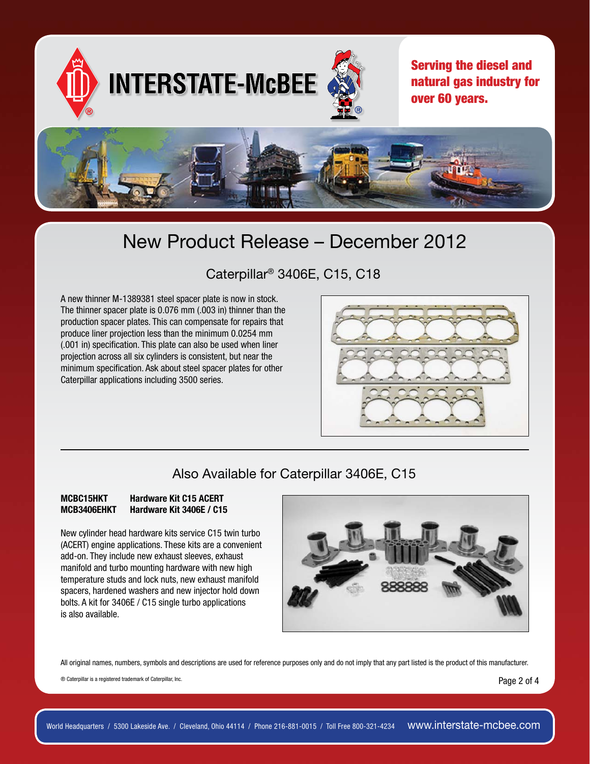

### Caterpillar® 3406E, C15, C18

A new thinner M-1389381 steel spacer plate is now in stock. The thinner spacer plate is 0.076 mm (.003 in) thinner than the production spacer plates. This can compensate for repairs that produce liner projection less than the minimum 0.0254 mm (.001 in) specification. This plate can also be used when liner projection across all six cylinders is consistent, but near the minimum specification. Ask about steel spacer plates for other Caterpillar applications including 3500 series.



#### Also Available for Caterpillar 3406E, C15

#### MCBC15HKT Hardware Kit C15 ACERT MCB3406EHKT Hardware Kit 3406E / C15

New cylinder head hardware kits service C15 twin turbo (ACERT) engine applications. These kits are a convenient add-on. They include new exhaust sleeves, exhaust manifold and turbo mounting hardware with new high temperature studs and lock nuts, new exhaust manifold spacers, hardened washers and new injector hold down bolts. A kit for 3406E / C15 single turbo applications is also available.



All original names, numbers, symbols and descriptions are used for reference purposes only and do not imply that any part listed is the product of this manufacturer.

® Caterpillar is a registered trademark of Caterpillar, Inc.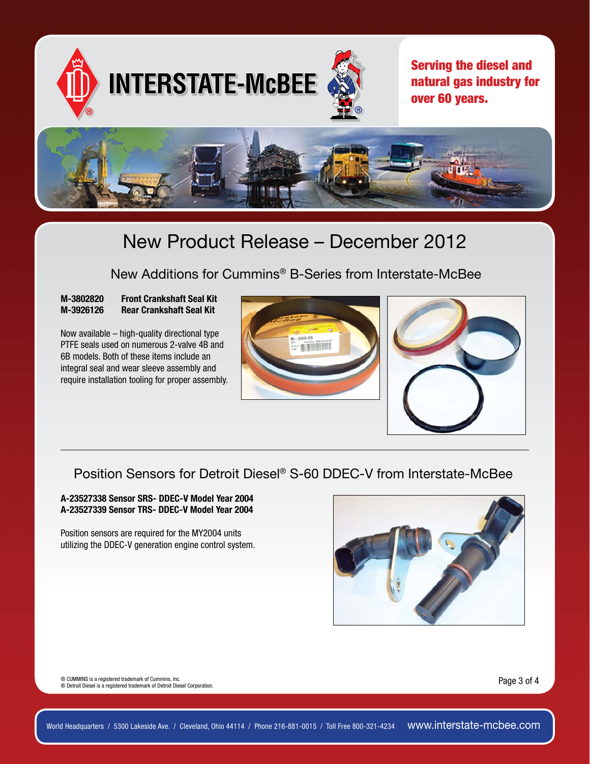

#### New Additions for Cummins® B-Series from Interstate-McBee

#### M-3802820 Front Crankshaft Seal Kit M-3926126 Rear Crankshaft Seal Kit

Now available – high-quality directional type PTFE seals used on numerous 2-valve 4B and 6B models. Both of these items include an integral seal and wear sleeve assembly and require installation tooling for proper assembly.





### Position Sensors for Detroit Diesel® S-60 DDEC-V from Interstate-McBee

A-23527338 Sensor SRS- DDEC-V Model Year 2004 A-23527339 Sensor TRS- DDEC-V Model Year 2004

Position sensors are required for the MY2004 units utilizing the DDEC-V generation engine control system.



® CUMMINS is a registered trademark of Cummins, Inc. ® Detroit Diesel is a registered trademark of Detroit Diesel Corporation.

Page 3 of 4